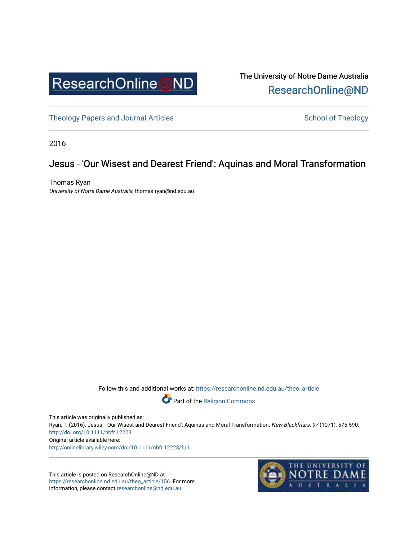

The University of Notre Dame Australia [ResearchOnline@ND](https://researchonline.nd.edu.au/) 

[Theology Papers and Journal Articles](https://researchonline.nd.edu.au/theo_article) and [School of Theology](https://researchonline.nd.edu.au/theo) School of Theology

2016

## Jesus - 'Our Wisest and Dearest Friend': Aquinas and Moral Transformation

Thomas Ryan University of Notre Dame Australia, thomas.ryan@nd.edu.au

Follow this and additional works at: [https://researchonline.nd.edu.au/theo\\_article](https://researchonline.nd.edu.au/theo_article?utm_source=researchonline.nd.edu.au%2Ftheo_article%2F156&utm_medium=PDF&utm_campaign=PDFCoverPages) 



This article was originally published as: Ryan, T. (2016). Jesus - 'Our Wisest and Dearest Friend': Aquinas and Moral Transformation. New Blackfriars, 97 (1071), 575-590. <http://doi.org/10.1111/nbfr.12223> Original article available here: <http://onlinelibrary.wiley.com/doi/10.1111/nbfr.12223/full>

This article is posted on ResearchOnline@ND at [https://researchonline.nd.edu.au/theo\\_article/156](https://researchonline.nd.edu.au/theo_article/156). For more information, please contact [researchonline@nd.edu.au.](mailto:researchonline@nd.edu.au)

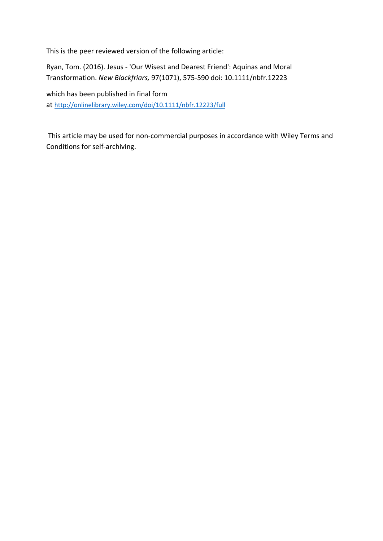This is the peer reviewed version of the following article:

Ryan, Tom. (2016). Jesus - 'Our Wisest and Dearest Friend': Aquinas and Moral Transformation. *New Blackfriars,* 97(1071), 575-590 doi: 10.1111/nbfr.12223

which has been published in final form at <http://onlinelibrary.wiley.com/doi/10.1111/nbfr.12223/full>

This article may be used for non-commercial purposes in accordance with Wiley Terms and Conditions for self-archiving.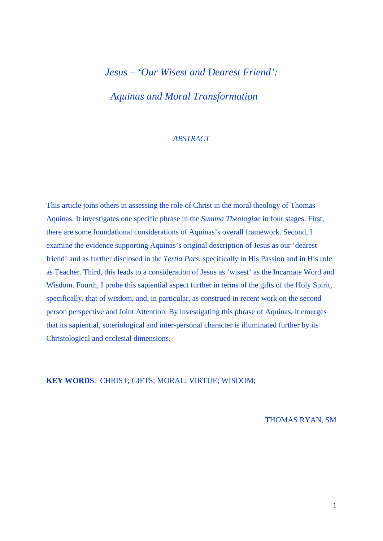# *Jesus – 'Our Wisest and Dearest Friend': Aquinas and Moral Transformation*

## *ABSTRACT*

This article joins others in assessing the role of Christ in the moral theology of Thomas Aquinas. It investigates one specific phrase in the *Summa Theologiae* in four stages. First, there are some foundational considerations of Aquinas's overall framework. Second, I examine the evidence supporting Aquinas's original description of Jesus as our 'dearest friend' and as further disclosed in the *Tertia Pars*, specifically in His Passion and in His role as Teacher. Third, this leads to a consideration of Jesus as 'wisest' as the Incarnate Word and Wisdom. Fourth, I probe this sapiential aspect further in terms of the gifts of the Holy Spirit, specifically, that of wisdom, and, in particular, as construed in recent work on the second person perspective and Joint Attention. By investigating this phrase of Aquinas, it emerges that its sapiential, soteriological and inter-personal character is illuminated further by its Christological and ecclesial dimensions.

**KEY WORDS**: CHRIST; GIFTS; MORAL; VIRTUE; WISDOM;

THOMAS RYAN, SM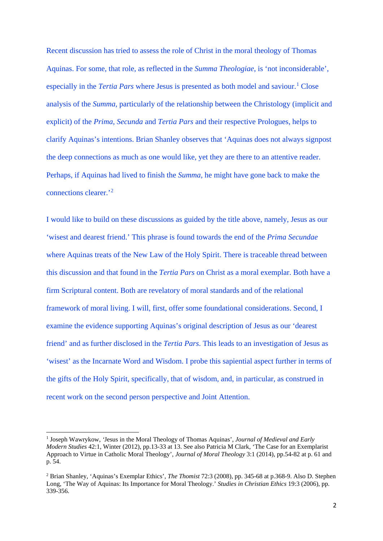Recent discussion has tried to assess the role of Christ in the moral theology of Thomas Aquinas. For some, that role, as reflected in the *Summa Theologiae*, is 'not inconsiderable', especially in the *Tertia Pars* where Jesus is presented as both model and saviour.<sup>[1](#page-3-0)</sup> Close analysis of the *Summa,* particularly of the relationship between the Christology (implicit and explicit) of the *Prima, Secunda* and *Tertia Pars* and their respective Prologues, helps to clarify Aquinas's intentions. Brian Shanley observes that 'Aquinas does not always signpost the deep connections as much as one would like, yet they are there to an attentive reader. Perhaps, if Aquinas had lived to finish the *Summa,* he might have gone back to make the connections clearer.'[2](#page-3-1)

I would like to build on these discussions as guided by the title above, namely, Jesus as our 'wisest and dearest friend.' This phrase is found towards the end of the *Prima Secundae*  where Aquinas treats of the New Law of the Holy Spirit. There is traceable thread between this discussion and that found in the *Tertia Pars* on Christ as a moral exemplar. Both have a firm Scriptural content. Both are revelatory of moral standards and of the relational framework of moral living. I will, first, offer some foundational considerations. Second, I examine the evidence supporting Aquinas's original description of Jesus as our 'dearest friend' and as further disclosed in the *Tertia Pars*. This leads to an investigation of Jesus as 'wisest' as the Incarnate Word and Wisdom. I probe this sapiential aspect further in terms of the gifts of the Holy Spirit, specifically, that of wisdom, and, in particular, as construed in recent work on the second person perspective and Joint Attention.

<span id="page-3-0"></span><sup>1</sup> Joseph Wawrykow, *'*Jesus in the Moral Theology of Thomas Aquinas', *Journal of Medieval and Early Modern Studies* 42:1, Winter (2012), pp.13-33 at 13. See also Patricia M Clark, 'The Case for an Exemplarist Approach to Virtue in Catholic Moral Theology', *Journal of Moral Theology* 3:1 (2014), pp.54-82 at p. 61 and p. 54.

<span id="page-3-1"></span><sup>2</sup> Brian Shanley, 'Aquinas's Exemplar Ethics', *The Thomist* 72:3 (2008), pp. 345-68 at p.368-9. Also D. Stephen Long, 'The Way of Aquinas: Its Importance for Moral Theology.' *Studies in Christian Ethics* 19:3 (2006), pp. 339-356.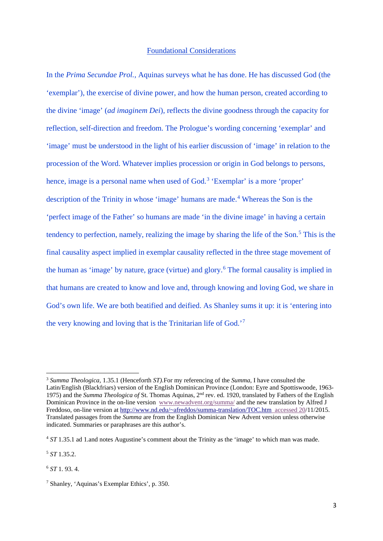#### Foundational Considerations

In the *Prima Secundae Prol.,* Aquinas surveys what he has done. He has discussed God (the 'exemplar'), the exercise of divine power, and how the human person, created according to the divine 'image' (*ad imaginem Dei*)*,* reflects the divine goodness through the capacity for reflection, self-direction and freedom. The Prologue's wording concerning 'exemplar' and 'image' must be understood in the light of his earlier discussion of 'image' in relation to the procession of the Word. Whatever implies procession or origin in God belongs to persons, hence, image is a personal name when used of God.<sup>[3](#page-4-0)</sup> 'Exemplar' is a more 'proper' description of the Trinity in whose 'image' humans are made.[4](#page-4-1) Whereas the Son is the 'perfect image of the Father' so humans are made 'in the divine image' in having a certain tendency to perfection, namely, realizing the image by sharing the life of the Son. $<sup>5</sup>$  $<sup>5</sup>$  $<sup>5</sup>$  This is the</sup> final causality aspect implied in exemplar causality reflected in the three stage movement of the human as 'image' by nature, grace (virtue) and glory.<sup>[6](#page-4-3)</sup> The formal causality is implied in that humans are created to know and love and, through knowing and loving God, we share in God's own life. We are both beatified and deified. As Shanley sums it up: it is 'entering into the very knowing and loving that is the Trinitarian life of God.'[7](#page-4-4)

 $\overline{a}$ 

<span id="page-4-0"></span><sup>3</sup> *Summa Theologica,* 1.35.1 (Henceforth *ST).*For my referencing of the *Summa*, I have consulted the Latin/English (Blackfriars) version of the English Dominican Province (London: Eyre and Spottiswoode, 1963- 1975) and the *Summa Theologica of* St. Thomas Aquinas, 2nd rev. ed. 1920, translated by Fathers of the English Dominican Province in the on-line version [www.newadvent.org/summa/](http://www.newadvent.org/summa/) and the new translation by Alfred J Freddoso, on-line version a[t http://www.nd.edu/~afreddos/summa-translation/TOC.htm accessed 20/](http://www.nd.edu/%7Eafreddos/summa-translation/TOC.htm%20%20accessed%2020)11/2015. Translated passages from the *Summa* are from the English Dominican New Advent version unless otherwise indicated. Summaries or paraphrases are this author's.

<span id="page-4-1"></span><sup>4</sup> *ST* 1.35.1 ad 1.and notes Augustine's comment about the Trinity as the 'image' to which man was made.

<span id="page-4-2"></span><sup>5</sup> *ST* 1.35.2.

<span id="page-4-3"></span><sup>6</sup> *ST* 1. 93. 4.

<span id="page-4-4"></span><sup>7</sup> Shanley, 'Aquinas's Exemplar Ethics', p. 350.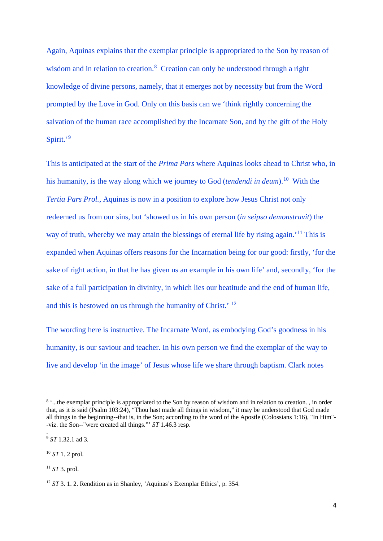Again, Aquinas explains that the exemplar principle is appropriated to the Son by reason of wisdom and in relation to creation.<sup>[8](#page-5-0)</sup> Creation can only be understood through a right knowledge of divine persons, namely, that it emerges not by necessity but from the Word prompted by the Love in God. Only on this basis can we 'think rightly concerning the salvation of the human race accomplished by the Incarnate Son, and by the gift of the Holy Spirit.'[9](#page-5-1)

This is anticipated at the start of the *Prima Pars* where Aquinas looks ahead to Christ who, in his humanity, is the way along which we journey to God (*tendendi in deum*).[10](#page-5-2) With the *Tertia Pars Prol.*, Aquinas is now in a position to explore how Jesus Christ not only redeemed us from our sins, but 'showed us in his own person (*in seipso demonstravit*) the way of truth, whereby we may attain the blessings of eternal life by rising again.<sup>'[11](#page-5-3)</sup> This is expanded when Aquinas offers reasons for the Incarnation being for our good: firstly, 'for the sake of right action, in that he has given us an example in his own life' and, secondly, 'for the sake of a full participation in divinity, in which lies our beatitude and the end of human life, and this is bestowed on us through the humanity of Christ.' [12](#page-5-4)

The wording here is instructive. The Incarnate Word, as embodying God's goodness in his humanity, is our saviour and teacher. In his own person we find the exemplar of the way to live and develop 'in the image' of Jesus whose life we share through baptism. Clark notes

<span id="page-5-1"></span><sup>9</sup> *ST* 1.32.1 ad 3.

.

 $\overline{a}$ 

<span id="page-5-0"></span><sup>&</sup>lt;sup>8</sup> '...the exemplar principle is appropriated to the Son by reason of wisdom and in relation to creation. , in order that, as it is said [\(Psalm 103:24\)](http://www.newadvent.org/bible/psa103.htm%23verse24), "Thou hast made all things in wisdom," it may be understood that [God](http://www.newadvent.org/cathen/06608a.htm) made all things in the beginning--that is, in the Son; according to the word of th[e Apostle](http://www.newadvent.org/cathen/11567b.htm) [\(Colossians 1:16\)](http://www.newadvent.org/bible/col001.htm%23verse16), "In Him"- -viz. the Son--"wer[e created](http://www.newadvent.org/cathen/04470a.htm) all things."' *ST* 1.46.3 resp.

<span id="page-5-2"></span><sup>10</sup> *ST* 1. 2 prol.

<span id="page-5-3"></span><sup>11</sup> *ST* 3. prol.

<span id="page-5-4"></span><sup>12</sup> *ST* 3. 1. 2. Rendition as in Shanley, 'Aquinas's Exemplar Ethics', p. 354.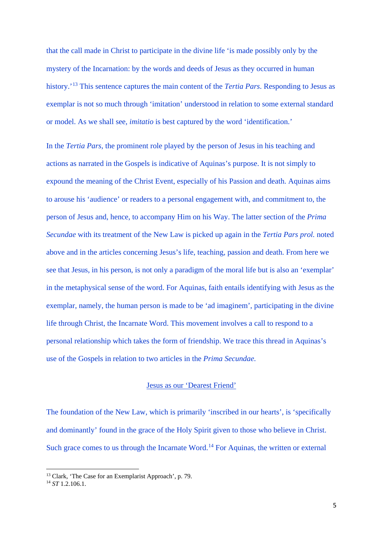that the call made in Christ to participate in the divine life 'is made possibly only by the mystery of the Incarnation: by the words and deeds of Jesus as they occurred in human history.'[13](#page-6-0) This sentence captures the main content of the *Tertia Pars*. Responding to Jesus as exemplar is not so much through 'imitation' understood in relation to some external standard or model. As we shall see, *imitatio* is best captured by the word 'identification.'

In the *Tertia Pars,* the prominent role played by the person of Jesus in his teaching and actions as narrated in the Gospels is indicative of Aquinas's purpose. It is not simply to expound the meaning of the Christ Event, especially of his Passion and death. Aquinas aims to arouse his 'audience' or readers to a personal engagement with, and commitment to, the person of Jesus and, hence, to accompany Him on his Way. The latter section of the *Prima Secundae* with its treatment of the New Law is picked up again in the *Tertia Pars prol.* noted above and in the articles concerning Jesus's life, teaching, passion and death. From here we see that Jesus, in his person, is not only a paradigm of the moral life but is also an 'exemplar' in the metaphysical sense of the word. For Aquinas, faith entails identifying with Jesus as the exemplar, namely, the human person is made to be 'ad imaginem', participating in the divine life through Christ, the Incarnate Word. This movement involves a call to respond to a personal relationship which takes the form of friendship. We trace this thread in Aquinas's use of the Gospels in relation to two articles in the *Prima Secundae.*

## Jesus as our 'Dearest Friend'

The foundation of the New Law, which is primarily 'inscribed in our hearts', is 'specifically and dominantly' found in the grace of the Holy Spirit given to those who believe in Christ. Such grace comes to us through the Incarnate Word.<sup>[14](#page-6-1)</sup> For Aquinas, the written or external

<sup>13</sup> Clark, 'The Case for an Exemplarist Approach', p. 79.

<span id="page-6-1"></span><span id="page-6-0"></span><sup>14</sup> *ST* 1.2.106.1.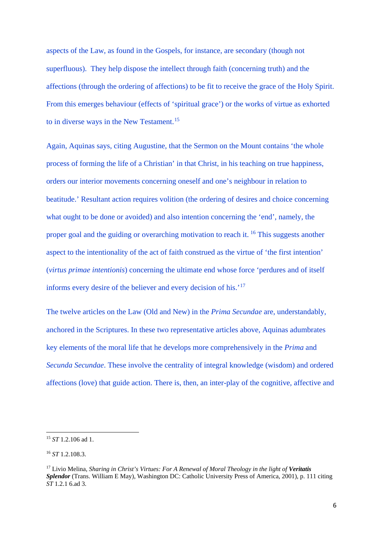aspects of the Law, as found in the Gospels, for instance, are secondary (though not superfluous). They help dispose the intellect through faith (concerning truth) and the affections (through the ordering of affections) to be fit to receive the grace of the Holy Spirit. From this emerges behaviour (effects of 'spiritual grace') or the works of virtue as exhorted to in diverse ways in the New Testament.<sup>[15](#page-7-0)</sup>

Again, Aquinas says, citing Augustine, that the Sermon on the Mount contains 'the whole process of forming the life of a Christian' in that Christ, in his teaching on true happiness, orders our interior movements concerning oneself and one's neighbour in relation to beatitude.' Resultant action requires volition (the ordering of desires and choice concerning what ought to be done or avoided) and also intention concerning the 'end', namely, the proper goal and the guiding or overarching motivation to reach it. [16](#page-7-1) This suggests another aspect to the intentionality of the act of faith construed as the virtue of 'the first intention' (*virtus primae intentionis*) concerning the ultimate end whose force 'perdures and of itself informs every desire of the believer and every decision of his.'[17](#page-7-2)

The twelve articles on the Law (Old and New) in the *Prima Secundae* are, understandably, anchored in the Scriptures. In these two representative articles above, Aquinas adumbrates key elements of the moral life that he develops more comprehensively in the *Prima* and *Secunda Secundae*. These involve the centrality of integral knowledge (wisdom) and ordered affections (love) that guide action. There is, then, an inter-play of the cognitive, affective and

<span id="page-7-0"></span><sup>15</sup> *ST* 1.2.106 ad 1.

<span id="page-7-1"></span><sup>16</sup> *ST* 1.2.108.3.

<span id="page-7-2"></span><sup>17</sup> Livio Melina, *Sharing in Christ's Virtues: For A Renewal of Moral Theology in the light of Veritatis Splendor* (Trans. William E May), Washington DC: Catholic University Press of America, 2001), p. 111 citing *ST* 1.2.1 6.ad 3.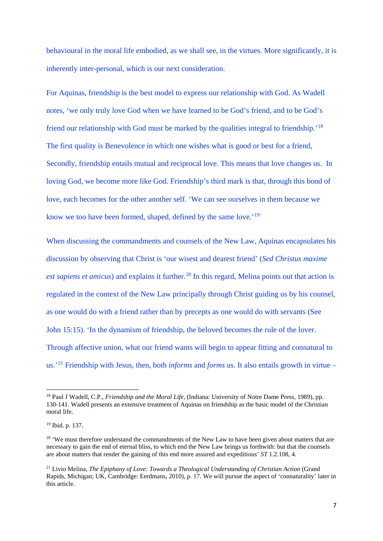behavioural in the moral life embodied, as we shall see, in the virtues. More significantly, it is inherently inter-personal, which is our next consideration.

For Aquinas, friendship is the best model to express our relationship with God. As Wadell notes, 'we only truly love God when we have learned to be God's friend, and to be God's friend our relationship with God must be marked by the qualities integral to friendship.'[18](#page-8-0) The first quality is Benevolence in which one wishes what is good or best for a friend, Secondly, friendship entails mutual and reciprocal love. This means that love changes us. In loving God, we become more like God. Friendship's third mark is that, through this bond of love, each becomes for the other another self. 'We can see ourselves in them because we know we too have been formed, shaped, defined by the same love.<sup>'19</sup>

When discussing the commandments and counsels of the New Law, Aquinas encapsulates his discussion by observing that Christ is 'our wisest and dearest friend' (*Sed Christus maxime est sapiens et amicus*) and explains it further. [20](#page-8-2) In this regard, Melina points out that action is regulated in the context of the New Law principally through Christ guiding us by his counsel, as one would do with a friend rather than by precepts as one would do with servants (See John 15:15). 'In the dynamism of friendship, the beloved becomes the rule of the lover. Through affective union, what our friend wants will begin to appear fitting and connatural to us.' [21](#page-8-3) Friendship with Jesus, then, both *informs* and *forms* us. It also entails growth in virtue –

<span id="page-8-0"></span><sup>18</sup> Paul J Wadell, C.P., *Friendship and the Moral Life,* (Indiana: University of Notre Dame Press, 1989), pp. 130-141. Wadell presents an extensive treatment of Aquinas on friendship as the basic model of the Christian moral life.

<span id="page-8-1"></span><sup>19</sup> Ibid. p. 137.

<span id="page-8-2"></span><sup>&</sup>lt;sup>20</sup> 'We must therefore understand the commandments of th[e New Law](http://www.newadvent.org/cathen/06655b.htm) to have been given about matters that are [necessary](http://www.newadvent.org/cathen/10733a.htm) to gain the end of [eternal bliss,](http://www.newadvent.org/cathen/02364a.htm) to which end the [New Law](http://www.newadvent.org/cathen/06655b.htm) brings us forthwith: but that the counsels are about matters that render the gaining of this end more assured and expeditious' *ST* 1.2.108, 4.

<span id="page-8-3"></span><sup>&</sup>lt;sup>21</sup> Livio Melina, *The Epiphany of Love: Towards a Theological Understanding of Christian Action* (Grand Rapids, Michigan; UK, Cambridge: Eerdmans, 2010), p. 17. We will pursue the aspect of 'connaturality' later in this article.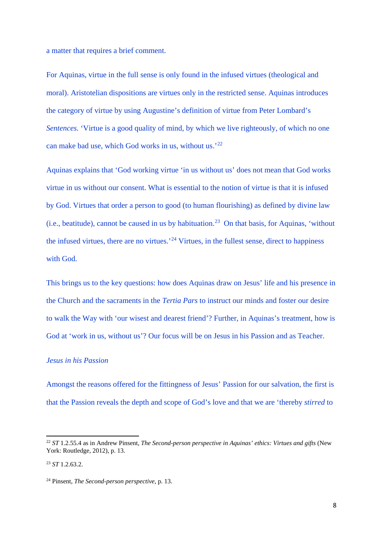a matter that requires a brief comment.

For Aquinas, virtue in the full sense is only found in the infused virtues (theological and moral). Aristotelian dispositions are virtues only in the restricted sense. Aquinas introduces the category of virtue by using Augustine's definition of virtue from Peter Lombard's *Sentences.* 'Virtue is a good quality of mind, by which we live righteously, of which no one can make bad use, which God works in us, without us.'[22](#page-9-0)

Aquinas explains that 'God working virtue 'in us without us' does not mean that God works virtue in us without our consent. What is essential to the notion of virtue is that it is infused by God. Virtues that order a person to good (to human flourishing) as defined by divine law (i.e., beatitude), cannot be caused in us by habituation.<sup>[23](#page-9-1)</sup> On that basis, for Aquinas, 'without the infused virtues, there are no virtues.<sup>[24](#page-9-2)</sup> Virtues, in the fullest sense, direct to happiness with God.

This brings us to the key questions: how does Aquinas draw on Jesus' life and his presence in the Church and the sacraments in the *Tertia Pars* to instruct our minds and foster our desire to walk the Way with 'our wisest and dearest friend'? Further, in Aquinas's treatment, how is God at 'work in us, without us'? Our focus will be on Jesus in his Passion and as Teacher.

#### *Jesus in his Passion*

Amongst the reasons offered for the fittingness of Jesus' Passion for our salvation, the first is that the Passion reveals the depth and scope of God's love and that we are 'thereby *stirred* to

<span id="page-9-0"></span><sup>&</sup>lt;sup>22</sup> *ST* 1.2.55.4 as in Andrew Pinsent, *The Second-person perspective in Aquinas' ethics: Virtues and gifts* (New York: Routledge, 2012), p. 13.

<span id="page-9-1"></span><sup>23</sup> *ST* 1.2.63.2.

<span id="page-9-2"></span><sup>24</sup> Pinsent, *The Second-person perspective*, p. 13.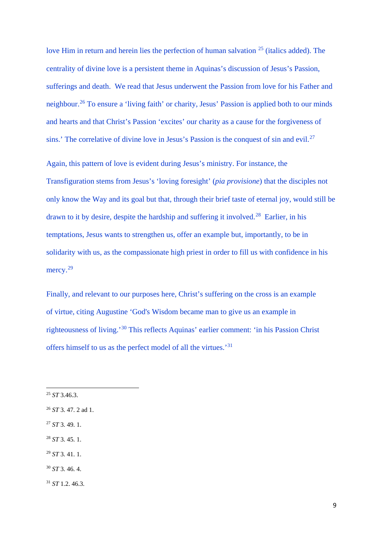love Him in return and herein lies the perfection of human salvation  $25$  (italics added). The centrality of divine love is a persistent theme in Aquinas's discussion of Jesus's Passion, sufferings and death. We read that Jesus underwent the Passion from love for his Father and neighbour.[26](#page-10-1) To ensure a 'living faith' or charity, Jesus' Passion is applied both to our minds and hearts and that Christ's Passion 'excites' our charity as a cause for the forgiveness of sins.' The correlative of divine love in Jesus's Passion is the conquest of sin and evil.<sup>[27](#page-10-2)</sup>

Again, this pattern of love is evident during Jesus's ministry. For instance, the Transfiguration stems from Jesus's 'loving foresight' (*pia provisione*) that the disciples not only know the Way and its goal but that, through their brief taste of eternal joy, would still be drawn to it by desire, despite the hardship and suffering it involved.<sup>[28](#page-10-3)</sup> Earlier, in his temptations, Jesus wants to strengthen us, offer an example but, importantly, to be in solidarity with us, as the compassionate high priest in order to fill us with confidence in his mercy.<sup>29</sup>

Finally, and relevant to our purposes here, Christ's suffering on the cross is an example of [virtue,](http://www.newadvent.org/cathen/15472a.htm) citing [Augustine](http://www.newadvent.org/cathen/02084a.htm) ['God's](http://www.newadvent.org/cathen/06608a.htm) Wisdom became [man](http://www.newadvent.org/cathen/09580c.htm) to give us an example in righteousness of living.'[30](#page-10-5) This reflects Aquinas' earlier comment: 'in his Passion Christ offers himself to us as the perfect model of all the virtues.'[31](#page-10-6) 

- <span id="page-10-2"></span><sup>27</sup> *ST* 3. 49. 1.
- <span id="page-10-3"></span><sup>28</sup> *ST* 3. 45. 1.
- <span id="page-10-4"></span><sup>29</sup> *ST* 3. 41. 1.
- <span id="page-10-5"></span><sup>30</sup> *ST* 3. 46. 4.
- <span id="page-10-6"></span><sup>31</sup> *ST* 1.2. 46.3.

<span id="page-10-0"></span><sup>25</sup> *ST* 3.46.3.

<span id="page-10-1"></span><sup>26</sup> *ST* 3. 47. 2 ad 1.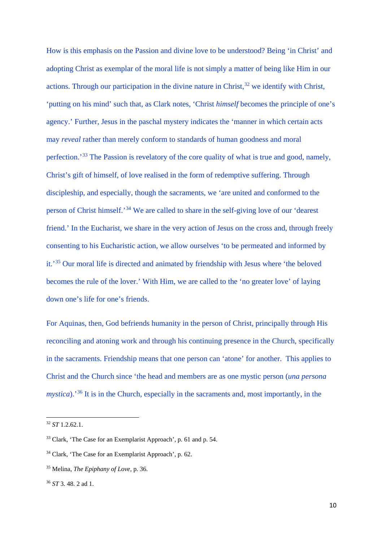How is this emphasis on the Passion and divine love to be understood? Being 'in Christ' and adopting Christ as exemplar of the moral life is not simply a matter of being like Him in our actions. Through our participation in the divine nature in Christ, $3<sup>2</sup>$  we identify with Christ, 'putting on his mind' such that, as Clark notes, 'Christ *himself* becomes the principle of one's agency.' Further, Jesus in the paschal mystery indicates the 'manner in which certain acts may *reveal* rather than merely conform to standards of human goodness and moral perfection.'[33](#page-11-1) The Passion is revelatory of the core quality of what is true and good, namely, Christ's gift of himself, of love realised in the form of redemptive suffering. Through discipleship, and especially, though the sacraments, we 'are united and conformed to the person of Christ himself.'[34](#page-11-2) We are called to share in the self-giving love of our 'dearest friend.' In the Eucharist, we share in the very action of Jesus on the cross and, through freely consenting to his Eucharistic action, we allow ourselves 'to be permeated and informed by it.'[35](#page-11-3) Our moral life is directed and animated by friendship with Jesus where 'the beloved becomes the rule of the lover.' With Him, we are called to the 'no greater love' of laying down one's life for one's friends.

For Aquinas, then, God befriends humanity in the person of Christ, principally through His reconciling and atoning work and through his continuing presence in the Church, specifically in the sacraments. Friendship means that one person can 'atone' for another. This applies to Christ and the Church since 'the head and members are as one mystic person (*una persona mystica*).<sup>'[36](#page-11-4)</sup> It is in the Church, especially in the sacraments and, most importantly, in the

<span id="page-11-0"></span><sup>32</sup> *ST* 1.2.62.1.

<span id="page-11-1"></span><sup>33</sup> Clark, 'The Case for an Exemplarist Approach', p. 61 and p. 54.

<span id="page-11-2"></span><sup>34</sup> Clark, 'The Case for an Exemplarist Approach', p. 62.

<span id="page-11-3"></span><sup>35</sup> Melina, *The Epiphany of Love,* p. 36.

<span id="page-11-4"></span><sup>36</sup> *ST* 3. 48. 2 ad 1.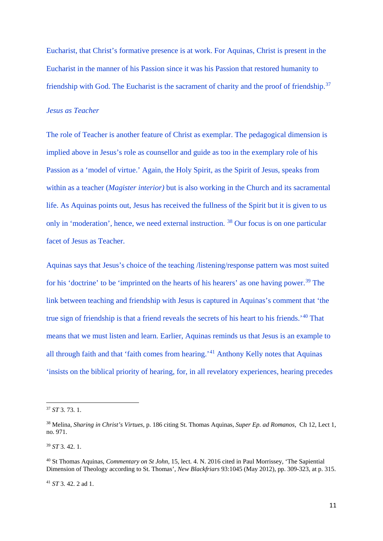Eucharist, that Christ's formative presence is at work. For Aquinas, Christ is present in the Eucharist in the manner of his Passion since it was his Passion that restored humanity to friendship with God. The Eucharist is the sacrament of charity and the proof of friendship.<sup>[37](#page-12-0)</sup>

### *Jesus as Teacher*

The role of Teacher is another feature of Christ as exemplar. The pedagogical dimension is implied above in Jesus's role as counsellor and guide as too in the exemplary role of his Passion as a 'model of virtue.' Again, the Holy Spirit, as the Spirit of Jesus, speaks from within as a teacher (*Magister interior)* but is also working in the Church and its sacramental life. As Aquinas points out, Jesus has received the fullness of the Spirit but it is given to us only in 'moderation', hence, we need external instruction. [38](#page-12-1) Our focus is on one particular facet of Jesus as Teacher.

Aquinas says that Jesus's choice of the teaching /listening/response pattern was most suited for his 'doctrine' to be 'imprinted on the hearts of his hearers' as one having power.<sup>[39](#page-12-2)</sup> The link between teaching and friendship with Jesus is captured in Aquinas's comment that 'the true sign of friendship is that a friend reveals the secrets of his heart to his friends.'[40](#page-12-3) That means that we must listen and learn. Earlier, Aquinas reminds us that Jesus is an example to all through faith and that 'faith comes from hearing.'<sup>[41](#page-12-4)</sup> Anthony Kelly notes that Aquinas 'insists on the biblical priority of hearing, for, in all revelatory experiences, hearing precedes

**.** 

<span id="page-12-2"></span><sup>39</sup> *ST* 3. 42. 1.

<span id="page-12-0"></span><sup>37</sup> *ST* 3. 73. 1.

<span id="page-12-1"></span><sup>38</sup> Melina, *Sharing in Christ's Virtues,* p. 186 citing St. Thomas Aquinas, *Super Ep. ad Romanos*, Ch 12, Lect 1, no. 971.

<span id="page-12-3"></span><sup>40</sup> St Thomas Aquinas, *Commentary on St John,* 15, lect. 4. N. 2016 cited in Paul Morrissey, 'The Sapiential Dimension of Theology according to St. Thomas', *New Blackfriars* 93:1045 (May 2012), pp. 309-323, at p. 315.

<span id="page-12-4"></span><sup>41</sup> *ST* 3. 42. 2 ad 1.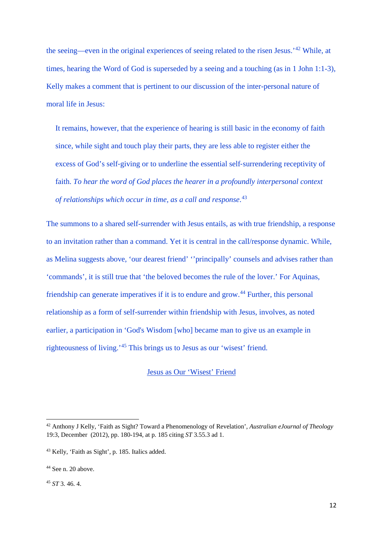the seeing—even in the original experiences of seeing related to the risen Jesus.'[42](#page-13-0) While, at times, hearing the Word of God is superseded by a seeing and a touching (as in 1 John 1:1-3), Kelly makes a comment that is pertinent to our discussion of the inter-personal nature of moral life in Jesus:

It remains, however, that the experience of hearing is still basic in the economy of faith since, while sight and touch play their parts, they are less able to register either the excess of God's self‐giving or to underline the essential self‐surrendering receptivity of faith. *To hear the word of God places the hearer in a profoundly interpersonal context of relationships which occur in time, as a call and response*. [43](#page-13-1)

The summons to a shared self-surrender with Jesus entails, as with true friendship, a response to an invitation rather than a command. Yet it is central in the call/response dynamic. While, as Melina suggests above, 'our dearest friend' ''principally' counsels and advises rather than 'commands', it is still true that 'the beloved becomes the rule of the lover.' For Aquinas, friendship can generate imperatives if it is to endure and grow.[44](#page-13-2) Further, this personal relationship as a form of self-surrender within friendship with Jesus, involves, as noted earlier, a participation in ['God's](http://www.newadvent.org/cathen/06608a.htm) Wisdom [who] became [man](http://www.newadvent.org/cathen/09580c.htm) to give us an example in righteousness of living.'[45](#page-13-3) This brings us to Jesus as our 'wisest' friend.

#### Jesus as Our 'Wisest' Friend

<span id="page-13-3"></span><sup>45</sup> *ST* 3. 46. 4.

<span id="page-13-0"></span><sup>42</sup> Anthony J Kelly, 'Faith as Sight? Toward a Phenomenology of Revelation', *Australian eJournal of Theology*  19:3, December (2012), pp. 180-194, at p. 185 citing *ST* 3.55.3 ad 1.

<span id="page-13-1"></span><sup>43</sup> Kelly, 'Faith as Sight', p. 185. Italics added.

<span id="page-13-2"></span> $44$  See n. 20 above.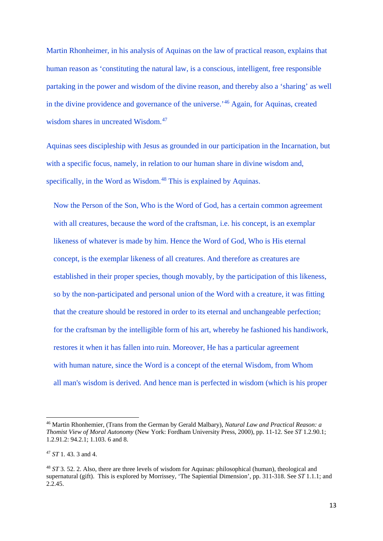Martin Rhonheimer, in his analysis of Aquinas on the law of practical reason, explains that human reason as 'constituting the natural law, is a conscious, intelligent, free responsible partaking in the power and wisdom of the divine reason, and thereby also a 'sharing' as well in the divine providence and governance of the universe.'[46](#page-14-0) Again, for Aquinas, created wisdom shares in uncreated Wisdom.<sup>[47](#page-14-1)</sup>

Aquinas sees discipleship with Jesus as grounded in our participation in the Incarnation, but with a specific focus, namely, in relation to our human share in divine wisdom and, specifically, in the Word as Wisdom.<sup>[48](#page-14-2)</sup> This is explained by Aquinas.

Now the Person of the Son, Who is the [Word of God,](http://www.newadvent.org/cathen/09328a.htm) has a certain common agreement with all creatures, because the word of the craftsman, i.e. his concept, is an exemplar likeness of whatever is made by him. Hence the [Word of God,](http://www.newadvent.org/cathen/09328a.htm) Who is His [eternal](http://www.newadvent.org/cathen/05551b.htm) concept, is the exemplar likeness of all creatures. And therefore as creatures are established in their proper [species,](http://www.newadvent.org/cathen/14210a.htm) though movably, by the participation of this likeness, so by the non-participated and personal union of the Word with a creature, it was fitting that the creature should be restored in order to its [eternal](http://www.newadvent.org/cathen/05551b.htm) and unchangeable perfection; for the craftsman by the intelligible form of his art, whereby he fashioned his handiwork, restores it when it has fallen into ruin. Moreover, He has a particular agreement with [human](http://www.newadvent.org/cathen/09580c.htm) [nature,](http://www.newadvent.org/cathen/10715a.htm) since the Word is a concept of the [eternal](http://www.newadvent.org/cathen/05551b.htm) Wisdom, from Whom all [man's](http://www.newadvent.org/cathen/09580c.htm) wisdom is derived. And hence [man](http://www.newadvent.org/cathen/09580c.htm) is perfected in wisdom (which is his proper

<span id="page-14-0"></span><sup>46</sup> Martin Rhonhemier, (Trans from the German by Gerald Malbary), *Natural Law and Practical Reason: a Thomist View of Moral Autonomy* (New York: Fordham University Press, 2000), pp. 11-12. See *ST* 1.2.90.1; 1.2.91.2: 94.2.1; 1.103. 6 and 8.

<span id="page-14-1"></span><sup>47</sup> *ST* 1. 43. 3 and 4.

<span id="page-14-2"></span><sup>48</sup> *ST* 3. 52. 2. Also, there are three levels of wisdom for Aquinas: philosophical (human), theological and supernatural (gift). This is explored by Morrissey, 'The Sapiential Dimension', pp. 311-318. See *ST* 1.1.1; and  $2.245$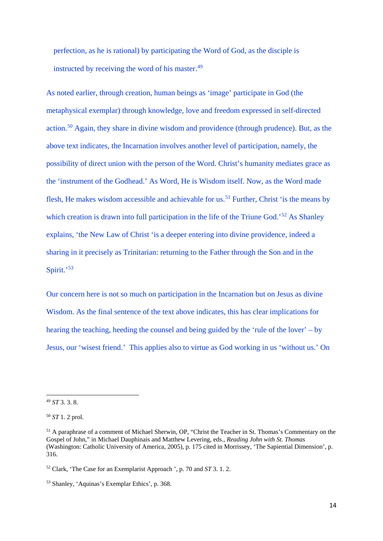perfection, as he is rational) by participating the [Word of God,](http://www.newadvent.org/cathen/09328a.htm) as the disciple is instructed by receiving the word of his master.<sup>[49](#page-15-0)</sup>

As noted earlier, through creation, human beings as 'image' participate in God (the metaphysical exemplar) through knowledge, love and freedom expressed in self-directed action.[50](#page-15-1) Again, they share in divine wisdom and providence (through prudence). But, as the above text indicates, the Incarnation involves another level of participation, namely, the possibility of direct union with the person of the Word. Christ's humanity mediates grace as the 'instrument of the Godhead.' As Word, He is Wisdom itself. Now, as the Word made flesh, He makes wisdom accessible and achievable for us.<sup>[51](#page-15-2)</sup> Further, Christ 'is the means by which creation is drawn into full participation in the life of the Triune God.<sup>[52](#page-15-3)</sup> As Shanley explains, 'the New Law of Christ 'is a deeper entering into divine providence, indeed a sharing in it precisely as Trinitarian: returning to the Father through the Son and in the Spirit.'<sup>[53](#page-15-4)</sup>

Our concern here is not so much on participation in the Incarnation but on Jesus as divine Wisdom. As the final sentence of the text above indicates, this has clear implications for hearing the teaching, heeding the counsel and being guided by the 'rule of the lover' – by Jesus, our 'wisest friend.' This applies also to virtue as God working in us 'without us.' On

<span id="page-15-0"></span><sup>49</sup> *ST* 3. 3. 8.

<span id="page-15-1"></span><sup>50</sup> *ST* 1. 2 prol.

<span id="page-15-2"></span><sup>&</sup>lt;sup>51</sup> A paraphrase of a comment of Michael Sherwin, OP, "Christ the Teacher in St. Thomas's Commentary on the Gospel of John," in Michael Dauphinais and Matthew Levering, eds., *Reading John with St. Thomas* (Washington: Catholic University of America, 2005), p. 175 cited in Morrissey, 'The Sapiential Dimension', p. 316.

<span id="page-15-3"></span><sup>52</sup> Clark, 'The Case for an Exemplarist Approach ', p. 70 and *ST* 3. 1. 2.

<span id="page-15-4"></span><sup>53</sup> Shanley, 'Aquinas's Exemplar Ethics', p. 368.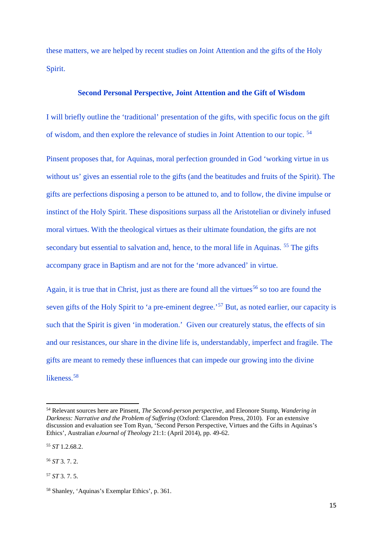these matters, we are helped by recent studies on Joint Attention and the gifts of the Holy Spirit.

#### **Second Personal Perspective, Joint Attention and the Gift of Wisdom**

I will briefly outline the 'traditional' presentation of the gifts, with specific focus on the gift of wisdom, and then explore the relevance of studies in Joint Attention to our topic. [54](#page-16-0)

Pinsent proposes that, for Aquinas, moral perfection grounded in God 'working virtue in us without us' gives an essential role to the gifts (and the beatitudes and fruits of the Spirit). The gifts are perfections disposing a person to be attuned to, and to follow, the divine impulse or instinct of the Holy Spirit. These dispositions surpass all the Aristotelian or divinely infused moral virtues. With the theological virtues as their ultimate foundation, the gifts are not secondary but essential to salvation and, hence, to the moral life in Aquinas. <sup>[55](#page-16-1)</sup> The gifts accompany grace in Baptism and are not for the 'more advanced' in virtue.

Again, it is true that in Christ, just as there are found all the virtues<sup>[56](#page-16-2)</sup> so too are found the seven gifts of the Holy Spirit to 'a pre-eminent degree.'<sup>[57](#page-16-3)</sup> But, as noted earlier, our capacity is such that the Spirit is given 'in moderation.' Given our creaturely status, the effects of sin and our resistances, our share in the divine life is, understandably, imperfect and fragile. The gifts are meant to remedy these influences that can impede our growing into the divine likeness.<sup>[58](#page-16-4)</sup>

**.** 

<span id="page-16-3"></span><sup>57</sup> *ST* 3. 7. 5.

<span id="page-16-0"></span><sup>54</sup> Relevant sources here are Pinsent, *The Second-person perspective,* and Eleonore Stump, *Wandering in Darkness: Narrative and the Problem of Suffering* (Oxford: Clarendon Press, 2010)*.* For an extensive discussion and evaluation see Tom Ryan, 'Second Person Perspective, Virtues and the Gifts in Aquinas's Ethics', Australian *eJournal of Theology* 21:1: (April 2014), pp. 49-62.

<span id="page-16-1"></span><sup>55</sup> *ST* 1.2.68.2.

<span id="page-16-2"></span><sup>56</sup> *ST* 3. 7. 2.

<span id="page-16-4"></span><sup>58</sup> Shanley, 'Aquinas's Exemplar Ethics', p. 361.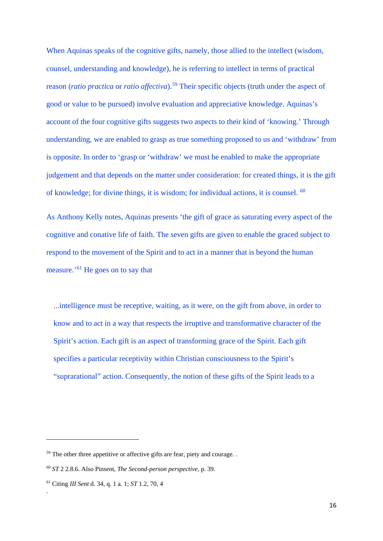When Aquinas speaks of the cognitive gifts, namely, those allied to the intellect (wisdom, counsel, understanding and knowledge), he is referring to intellect in terms of practical reason (*ratio practica* or *ratio affectiva*).[59](#page-17-0) Their specific objects (truth under the aspect of good or value to be pursued) involve evaluation and appreciative knowledge. Aquinas's account of the four cognitive gifts suggests two aspects to their kind of 'knowing.' Through understanding, we are enabled to grasp as true something proposed to us and 'withdraw' from is opposite. In order to 'grasp or 'withdraw' we must be enabled to make the appropriate judgement and that depends on the matter under consideration: for created things, it is the gift of knowledge; for divine things, it is wisdom; for individual actions, it is counsel. [60](#page-17-1)

As Anthony Kelly notes, Aquinas presents 'the gift of grace as saturating every aspect of the cognitive and conative life of faith. The seven gifts are given to enable the graced subject to respond to the movement of the Spirit and to act in a manner that is beyond the human measure.'[61](#page-17-2) He goes on to say that

...intelligence must be receptive, waiting, as it were, on the gift from above, in order to know and to act in a way that respects the irruptive and transformative character of the Spirit's action. Each gift is an aspect of transforming grace of the Spirit. Each gift specifies a particular receptivity within Christian consciousness to the Spirit's "suprarational" action. Consequently, the notion of these gifts of the Spirit leads to a

.

<span id="page-17-0"></span> $59$  The other three appetitive or affective gifts are fear, piety and courage.

<span id="page-17-1"></span><sup>60</sup> *ST* 2 2.8.6. Also Pinsent, *The Second-person perspective*, p. 39.

<span id="page-17-2"></span><sup>61</sup> Citing *III Sent* d. 34, q. 1 a. 1; *ST* 1.2, 70, 4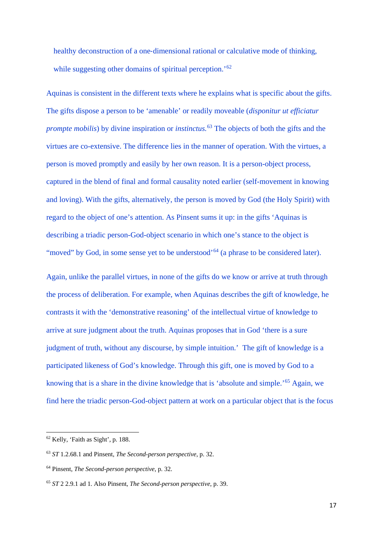healthy deconstruction of a one-dimensional rational or calculative mode of thinking, while suggesting other domains of spiritual perception.<sup>'[62](#page-18-0)</sup>

Aquinas is consistent in the different texts where he explains what is specific about the gifts. The gifts dispose a person to be 'amenable' or readily moveable (*disponitur ut efficiatur prompte mobilis*) by divine inspiration or *instinctus*.<sup>[63](#page-18-1)</sup> The objects of both the gifts and the virtues are co-extensive. The difference lies in the manner of operation. With the virtues, a person is moved promptly and easily by her own reason. It is a person-object process, captured in the blend of final and formal causality noted earlier (self-movement in knowing and loving). With the gifts, alternatively, the person is moved by God (the Holy Spirit) with regard to the object of one's attention. As Pinsent sums it up: in the gifts 'Aquinas is describing a triadic person-God-object scenario in which one's stance to the object is "moved" by God, in some sense yet to be understood"<sup>[64](#page-18-2)</sup> (a phrase to be considered later).

Again, unlike the parallel virtues, in none of the gifts do we know or arrive at truth through the process of deliberation. For example, when Aquinas describes the gift of knowledge, he contrasts it with the 'demonstrative reasoning' of the intellectual virtue of knowledge to arrive at sure judgment about the truth. Aquinas proposes that in God 'there is a sure judgment of truth, without any discourse, by simple intuition.' The gift of knowledge is a participated likeness of God's knowledge. Through this gift, one is moved by God to a knowing that is a share in the divine knowledge that is 'absolute and simple.'[65](#page-18-3) Again, we find here the triadic person-God-object pattern at work on a particular object that is the focus

<span id="page-18-0"></span><sup>62</sup> Kelly, 'Faith as Sight', p. 188.

<span id="page-18-1"></span><sup>63</sup> *ST* 1.2.68.1 and Pinsent, *The Second-person perspective*, p. 32.

<span id="page-18-2"></span><sup>64</sup> Pinsent, *The Second-person perspective*, p. 32.

<span id="page-18-3"></span><sup>65</sup> *ST* 2 2.9.1 ad 1. Also Pinsent, *The Second-person perspective*, p. 39.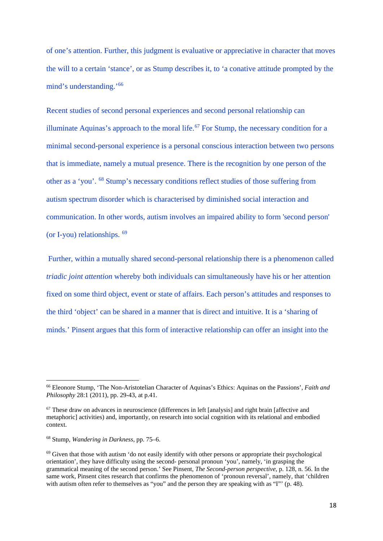of one's attention. Further, this judgment is evaluative or appreciative in character that moves the will to a certain 'stance', or as Stump describes it, to 'a conative attitude prompted by the mind's understanding.'[66](#page-19-0) 

Recent studies of second personal experiences and second personal relationship can illuminate Aquinas's approach to the moral life.<sup>[67](#page-19-1)</sup> For Stump, the necessary condition for a minimal second-personal experience is a personal conscious interaction between two persons that is immediate, namely a mutual presence. There is the recognition by one person of the other as a 'you'. [68](#page-19-2) Stump's necessary conditions reflect studies of those suffering from autism spectrum disorder which is characterised by diminished social interaction and communication. In other words, autism involves an impaired ability to form 'second person' (or I-you) relationships. [69](#page-19-3) 

Further, within a mutually shared second-personal relationship there is a phenomenon called *triadic joint attention* whereby both individuals can simultaneously have his or her attention fixed on some third object, event or state of affairs. Each person's attitudes and responses to the third 'object' can be shared in a manner that is direct and intuitive. It is a 'sharing of minds.' Pinsent argues that this form of interactive relationship can offer an insight into the

<span id="page-19-0"></span><sup>66</sup> Eleonore Stump, 'The Non-Aristotelian Character of Aquinas's Ethics: Aquinas on the Passions', *Faith and Philosophy* 28:1 (2011), pp. 29-43, at p.41.

<span id="page-19-1"></span><sup>67</sup> These draw on advances in neuroscience (differences in left [analysis] and right brain [affective and metaphoric] activities) and, importantly, on research into social cognition with its relational and embodied context.

<span id="page-19-2"></span><sup>68</sup> Stump, *Wandering in Darkness*, pp. 75–6.

<span id="page-19-3"></span><sup>69</sup> Given that those with autism 'do not easily identify with other persons or appropriate their psychological orientation', they have difficulty using the second- personal pronoun 'you', namely, 'in grasping the grammatical meaning of the second person.' See Pinsent, *The Second-person perspective*, p. 128, n. 56. In the same work, Pinsent cites research that confirms the phenomenon of 'pronoun reversal', namely, that 'children with autism often refer to themselves as "you" and the person they are speaking with as "I"' (p. 48).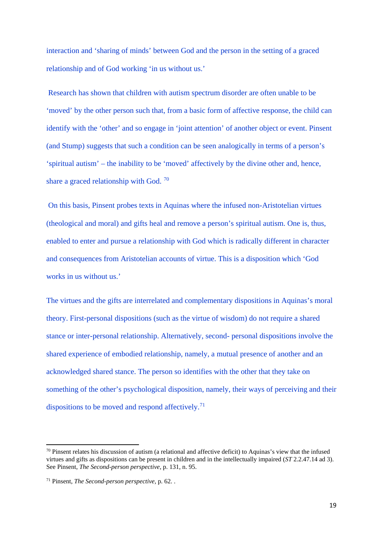interaction and 'sharing of minds' between God and the person in the setting of a graced relationship and of God working 'in us without us.'

Research has shown that children with autism spectrum disorder are often unable to be 'moved' by the other person such that, from a basic form of affective response, the child can identify with the 'other' and so engage in 'joint attention' of another object or event. Pinsent (and Stump) suggests that such a condition can be seen analogically in terms of a person's 'spiritual autism' – the inability to be 'moved' affectively by the divine other and, hence, share a graced relationship with God.  $70$ 

On this basis, Pinsent probes texts in Aquinas where the infused non-Aristotelian virtues (theological and moral) and gifts heal and remove a person's spiritual autism. One is, thus, enabled to enter and pursue a relationship with God which is radically different in character and consequences from Aristotelian accounts of virtue. This is a disposition which 'God works in us without us.'

The virtues and the gifts are interrelated and complementary dispositions in Aquinas's moral theory. First-personal dispositions (such as the virtue of wisdom) do not require a shared stance or inter-personal relationship. Alternatively, second- personal dispositions involve the shared experience of embodied relationship, namely, a mutual presence of another and an acknowledged shared stance. The person so identifies with the other that they take on something of the other's psychological disposition, namely, their ways of perceiving and their dispositions to be moved and respond affectively.<sup>71</sup>

<span id="page-20-0"></span><sup>&</sup>lt;sup>70</sup> Pinsent relates his discussion of autism (a relational and affective deficit) to Aquinas's view that the infused virtues and gifts as dispositions can be present in children and in the intellectually impaired (*ST* 2.2.47.14 ad 3). See Pinsent, *The Second-person perspective*, p. 131, n. 95.

<span id="page-20-1"></span><sup>71</sup> Pinsent, *The Second-person perspective,* p. 62. .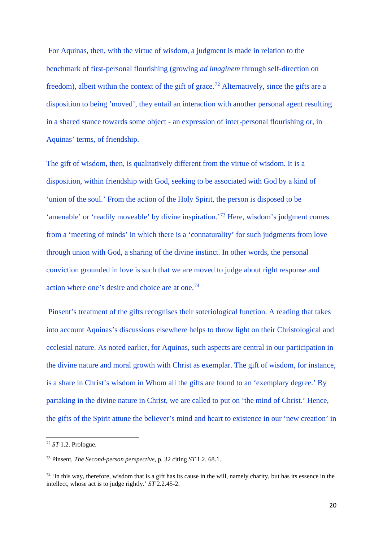For Aquinas, then, with the virtue of wisdom, a judgment is made in relation to the benchmark of first-personal flourishing (growing *ad imaginem* through self-direction on freedom), albeit within the context of the gift of grace.<sup>[72](#page-21-0)</sup> Alternatively, since the gifts are a disposition to being 'moved', they entail an interaction with another personal agent resulting in a shared stance towards some object - an expression of inter-personal flourishing or, in Aquinas' terms, of friendship.

The gift of wisdom, then, is qualitatively different from the virtue of wisdom. It is a disposition, within friendship with God, seeking to be associated with God by a kind of 'union of the soul.' From the action of the Holy Spirit, the person is disposed to be 'amenable' or 'readily moveable' by divine inspiration.'[73](#page-21-1) Here, wisdom's judgment comes from a 'meeting of minds' in which there is a 'connaturality' for such judgments from love through union with God, a sharing of the divine instinct. In other words, the personal conviction grounded in love is such that we are moved to judge about right response and action where one's desire and choice are at one.<sup>[74](#page-21-2)</sup>

Pinsent's treatment of the gifts recognises their soteriological function. A reading that takes into account Aquinas's discussions elsewhere helps to throw light on their Christological and ecclesial nature. As noted earlier, for Aquinas, such aspects are central in our participation in the divine nature and moral growth with Christ as exemplar. The gift of wisdom, for instance, is a share in Christ's wisdom in Whom all the gifts are found to an 'exemplary degree.' By partaking in the divine nature in Christ, we are called to put on 'the mind of Christ.' Hence, the gifts of the Spirit attune the believer's mind and heart to existence in our 'new creation' in

<span id="page-21-0"></span><sup>72</sup> *ST* 1.2. Prologue.

<span id="page-21-1"></span><sup>73</sup> Pinsent, *The Second-person perspective,* p. 32 citing *ST* 1.2. 68.1.

<span id="page-21-2"></span> $74$  'In this way, therefore, wisdom that is a gift has its cause in the will, namely charity, but has its essence in the intellect, whose act is to judge rightly.' *ST* 2.2.45-2.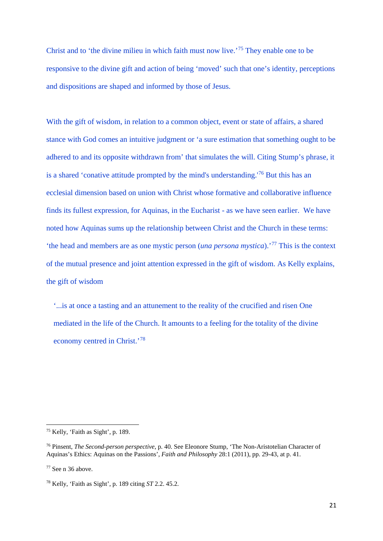Christ and to 'the divine milieu in which faith must now live.'[75](#page-22-0) They enable one to be responsive to the divine gift and action of being 'moved' such that one's identity, perceptions and dispositions are shaped and informed by those of Jesus.

With the gift of wisdom, in relation to a common object, event or state of affairs, a shared stance with God comes an intuitive judgment or 'a sure estimation that something ought to be adhered to and its opposite withdrawn from' that simulates the will. Citing Stump's phrase, it is a shared 'conative attitude prompted by the mind's understanding.'[76](#page-22-1) But this has an ecclesial dimension based on union with Christ whose formative and collaborative influence finds its fullest expression, for Aquinas, in the Eucharist - as we have seen earlier. We have noted how Aquinas sums up the relationship between Christ and the Church in these terms: 'the head and members are as one mystic person (*una persona mystica*).'[77](#page-22-2) This is the context of the mutual presence and joint attention expressed in the gift of wisdom. As Kelly explains, the gift of wisdom

'...is at once a tasting and an attunement to the reality of the crucified and risen One mediated in the life of the Church. It amounts to a feeling for the totality of the divine economy centred in Christ.'[78](#page-22-3)

<span id="page-22-0"></span><sup>75</sup> Kelly, 'Faith as Sight', p. 189.

<span id="page-22-1"></span><sup>76</sup> Pinsent, *The Second-person perspective*, p. 40. See Eleonore Stump, 'The Non-Aristotelian Character of Aquinas's Ethics: Aquinas on the Passions', *Faith and Philosophy* 28:1 (2011), pp. 29-43, at p. 41.

<span id="page-22-2"></span> $77$  See n 36 above.

<span id="page-22-3"></span><sup>78</sup> Kelly, 'Faith as Sight', p. 189 citing *ST* 2.2. 45.2.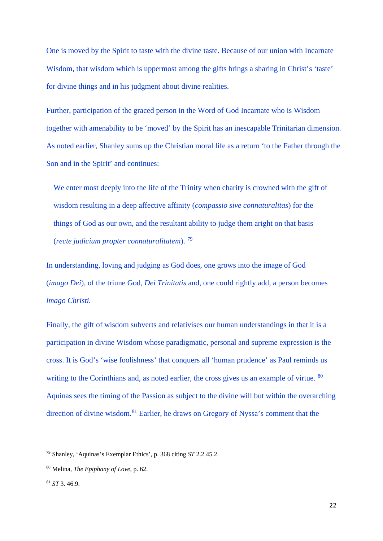One is moved by the Spirit to taste with the divine taste. Because of our union with Incarnate Wisdom, that wisdom which is uppermost among the gifts brings a sharing in Christ's 'taste' for divine things and in his judgment about divine realities.

Further, participation of the graced person in the Word of God Incarnate who is Wisdom together with amenability to be 'moved' by the Spirit has an inescapable Trinitarian dimension. As noted earlier, Shanley sums up the Christian moral life as a return 'to the Father through the Son and in the Spirit' and continues:

We enter most deeply into the life of the Trinity when charity is crowned with the gift of wisdom resulting in a deep affective affinity (*compassio sive connaturalitas*) for the things of God as our own, and the resultant ability to judge them aright on that basis (*recte judicium propter connaturalitatem*). [79](#page-23-0)

In understanding, loving and judging as God does, one grows into the image of God (*imago Dei*), of the triune God, *Dei Trinitatis* and, one could rightly add, a person becomes *imago Christi.*

Finally, the gift of wisdom subverts and relativises our human understandings in that it is a participation in divine Wisdom whose paradigmatic, personal and supreme expression is the cross. It is God's 'wise foolishness' that conquers all 'human prudence' as Paul reminds us writing to the Corinthians and, as noted earlier, the cross gives us an example of virtue. <sup>[80](#page-23-1)</sup> Aquinas sees the timing of the Passion as subject to the divine will but within the overarching direction of divine wisdom.<sup>[81](#page-23-2)</sup> Earlier, he draws on Gregory of Nyssa's comment that the

<span id="page-23-0"></span><sup>79</sup> Shanley, 'Aquinas's Exemplar Ethics', p. 368 citing *ST* 2.2.45.2.

<span id="page-23-1"></span><sup>80</sup> Melina, *The Epiphany of Love,* p. 62.

<span id="page-23-2"></span><sup>81</sup> *ST* 3. 46.9.